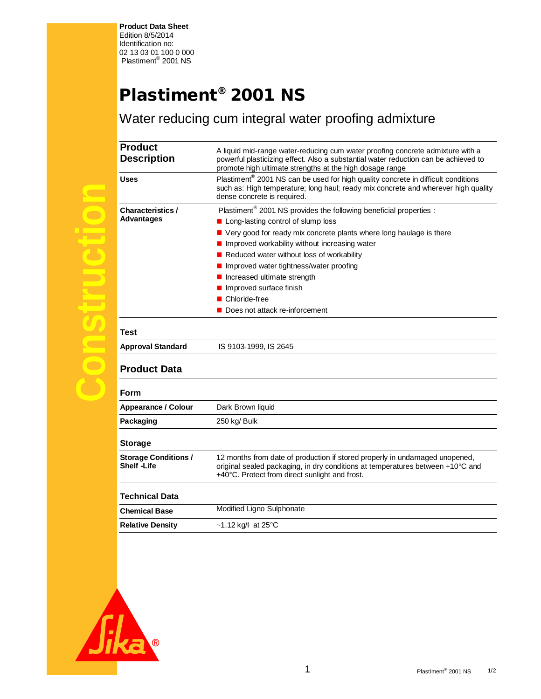**Product Data Sheet**  Edition 8/5/2014 Identification no: 02 13 03 01 100 0 000 Plastiment® 2001 NS

## **Plastiment® 2001 NS**

Water reducing cum integral water proofing admixture

| <b>Product</b><br><b>Description</b>             | A liquid mid-range water-reducing cum water proofing concrete admixture with a<br>powerful plasticizing effect. Also a substantial water reduction can be achieved to<br>promote high ultimate strengths at the high dosage range |
|--------------------------------------------------|-----------------------------------------------------------------------------------------------------------------------------------------------------------------------------------------------------------------------------------|
| <b>Uses</b>                                      | Plastiment <sup>®</sup> 2001 NS can be used for high quality concrete in difficult conditions<br>such as: High temperature; long haul; ready mix concrete and wherever high quality<br>dense concrete is required.                |
| <b>Characteristics /</b><br><b>Advantages</b>    | Plastiment® 2001 NS provides the following beneficial properties :                                                                                                                                                                |
|                                                  | ■ Long-lasting control of slump loss                                                                                                                                                                                              |
|                                                  | ■ Very good for ready mix concrete plants where long haulage is there                                                                                                                                                             |
|                                                  | Improved workability without increasing water                                                                                                                                                                                     |
|                                                  | Reduced water without loss of workability                                                                                                                                                                                         |
|                                                  | Improved water tightness/water proofing                                                                                                                                                                                           |
|                                                  | Increased ultimate strength                                                                                                                                                                                                       |
|                                                  | Improved surface finish                                                                                                                                                                                                           |
|                                                  | ■ Chloride-free                                                                                                                                                                                                                   |
|                                                  | Does not attack re-inforcement                                                                                                                                                                                                    |
| <b>Test</b>                                      |                                                                                                                                                                                                                                   |
| <b>Approval Standard</b>                         | IS 9103-1999, IS 2645                                                                                                                                                                                                             |
| <b>Product Data</b>                              |                                                                                                                                                                                                                                   |
| Form                                             |                                                                                                                                                                                                                                   |
| Appearance / Colour                              | Dark Brown liquid                                                                                                                                                                                                                 |
| Packaging                                        | 250 kg/ Bulk                                                                                                                                                                                                                      |
| <b>Storage</b>                                   |                                                                                                                                                                                                                                   |
| <b>Storage Conditions /</b><br><b>Shelf-Life</b> | 12 months from date of production if stored properly in undamaged unopened,<br>original sealed packaging, in dry conditions at temperatures between +10°C and                                                                     |

| Modified Ligno Sulphonate<br><b>Chemical Base</b> |  |
|---------------------------------------------------|--|
|                                                   |  |
| <b>Relative Density</b><br>~1.12 kg/l at 25 °C    |  |

+40°C. Protect from direct sunlight and frost.



**Construction**